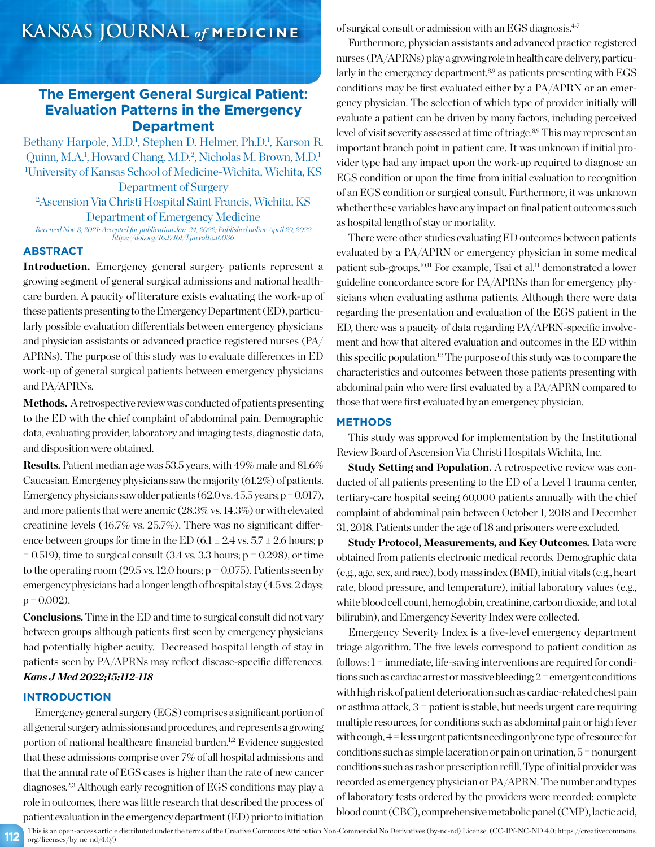# **The Emergent General Surgical Patient: Evaluation Patterns in the Emergency Department**

Bethany Harpole, M.D.<sup>1</sup>, Stephen D. Helmer, Ph.D.<sup>1</sup>, Karson R. Quinn, M.A.<sup>1</sup>, Howard Chang, M.D.<sup>2</sup>, Nicholas M. Brown, M.D.<sup>1</sup> 1 University of Kansas School of Medicine-Wichita, Wichita, KS

Department of Surgery 2 Ascension Via Christi Hospital Saint Francis, Wichita, KS Department of Emergency Medicine

*Received Nov. 3, 2021; Accepted for publication Jan. 24, 2022; Published online April 29, 2022 https://doi.org/10.17161/kjm.vol15.16036*

### **ABSTRACT**

**Introduction.** Emergency general surgery patients represent a growing segment of general surgical admissions and national healthcare burden. A paucity of literature exists evaluating the work-up of these patients presenting to the Emergency Department (ED), particularly possible evaluation differentials between emergency physicians and physician assistants or advanced practice registered nurses (PA/ APRNs). The purpose of this study was to evaluate differences in ED work-up of general surgical patients between emergency physicians and PA/APRNs.

Methods. A retrospective review was conducted of patients presenting to the ED with the chief complaint of abdominal pain. Demographic data, evaluating provider, laboratory and imaging tests, diagnostic data, and disposition were obtained.

**Results.** Patient median age was 53.5 years, with 49% male and 81.6% Caucasian. Emergency physicians saw the majority (61.2%) of patients. Emergency physicians saw older patients  $(62.0 \text{ vs. } 45.5 \text{ years}; p = 0.017)$ , and more patients that were anemic (28.3% vs. 14.3%) or with elevated creatinine levels (46.7% vs. 25.7%). There was no significant difference between groups for time in the ED (6.1  $\pm$  2.4 vs. 5.7  $\pm$  2.6 hours; p  $= 0.519$ ), time to surgical consult  $(3.4 \text{ vs. } 3.3 \text{ hours}; \text{p} = 0.298)$ , or time to the operating room  $(29.5 \text{ vs. } 12.0 \text{ hours}; p = 0.075)$ . Patients seen by emergency physicians had a longer length of hospital stay (4.5 vs. 2 days;  $p = 0.002$ ).

**Conclusions.**Time in the ED and time to surgical consult did not vary between groups although patients first seen by emergency physicians had potentially higher acuity. Decreased hospital length of stay in patients seen by PA/APRNs may reflect disease-specific differences. *Kans J Med 2022;15:112-118*

# **INTRODUCTION**

Emergency general surgery (EGS) comprises a significant portion of all general surgery admissions and procedures, and represents a growing portion of national healthcare financial burden.<sup>1,2</sup> Evidence suggested that these admissions comprise over 7% of all hospital admissions and that the annual rate of EGS cases is higher than the rate of new cancer diagnoses.2,3 Although early recognition of EGS conditions may play a role in outcomes, there was little research that described the process of patient evaluation in the emergency department (ED) prior to initiation

of surgical consult or admission with an EGS diagnosis.4-7

Furthermore, physician assistants and advanced practice registered nurses (PA/APRNs) play a growing role in health care delivery, particularly in the emergency department,<sup>8,9</sup> as patients presenting with EGS conditions may be first evaluated either by a PA/APRN or an emergency physician. The selection of which type of provider initially will evaluate a patient can be driven by many factors, including perceived level of visit severity assessed at time of triage.<sup>8,9</sup> This may represent an important branch point in patient care. It was unknown if initial provider type had any impact upon the work-up required to diagnose an EGS condition or upon the time from initial evaluation to recognition of an EGS condition or surgical consult. Furthermore, it was unknown whether these variables have any impact on final patient outcomes such as hospital length of stay or mortality.

There were other studies evaluating ED outcomes between patients evaluated by a PA/APRN or emergency physician in some medical patient sub-groups.10,11 For example, Tsai et al.11 demonstrated a lower guideline concordance score for PA/APRNs than for emergency physicians when evaluating asthma patients. Although there were data regarding the presentation and evaluation of the EGS patient in the ED, there was a paucity of data regarding PA/APRN-specific involvement and how that altered evaluation and outcomes in the ED within this specific population.12 The purpose of this study was to compare the characteristics and outcomes between those patients presenting with abdominal pain who were first evaluated by a PA/APRN compared to those that were first evaluated by an emergency physician.

## **METHODS**

This study was approved for implementation by the Institutional Review Board of Ascension Via Christi Hospitals Wichita, Inc.

**Study Setting and Population.** A retrospective review was conducted of all patients presenting to the ED of a Level 1 trauma center, tertiary-care hospital seeing 60,000 patients annually with the chief complaint of abdominal pain between October 1, 2018 and December 31, 2018. Patients under the age of 18 and prisoners were excluded.

**Study Protocol, Measurements, and Key Outcomes.** Data were obtained from patients electronic medical records. Demographic data (e.g., age, sex, and race), body mass index (BMI), initial vitals (e.g., heart rate, blood pressure, and temperature), initial laboratory values (e.g., white blood cell count, hemoglobin, creatinine, carbon dioxide, and total bilirubin), and Emergency Severity Index were collected.

Emergency Severity Index is a five-level emergency department triage algorithm. The five levels correspond to patient condition as follows: 1 = immediate, life-saving interventions are required for conditions such as cardiac arrest or massive bleeding; 2 = emergent conditions with high risk of patient deterioration such as cardiac-related chest pain or asthma attack, 3 = patient is stable, but needs urgent care requiring multiple resources, for conditions such as abdominal pain or high fever with cough, 4 = less urgent patients needing only one type of resource for conditions such as simple laceration or pain on urination, 5 = nonurgent conditions such as rash or prescription refill. Type of initial provider was recorded as emergency physician or PA/APRN. The number and types of laboratory tests ordered by the providers were recorded: complete blood count (CBC), comprehensive metabolic panel (CMP), lactic acid,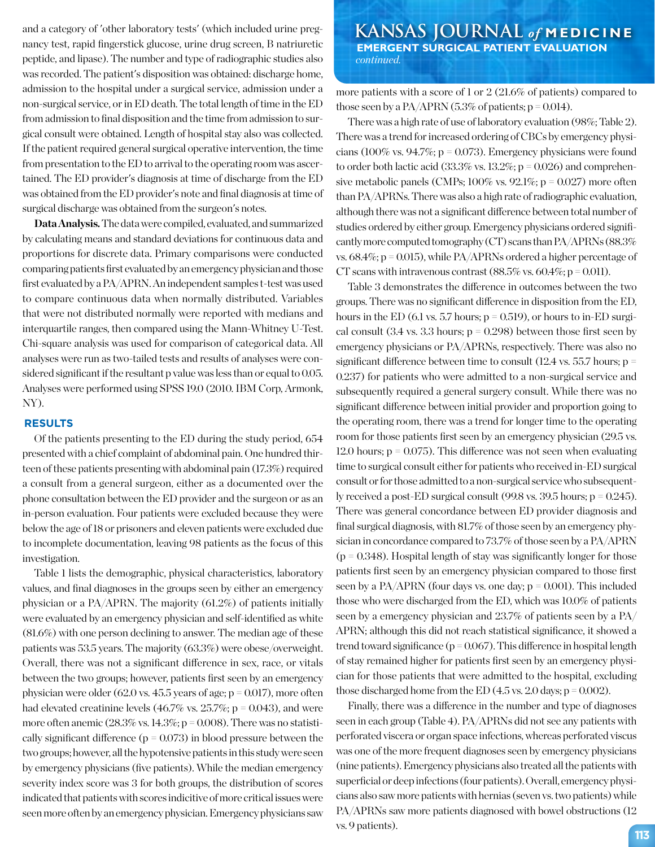nancy test, rapid fingerstick glucose, urine drug screen, B natriuretic peptide, and lipase). The number and type of radiographic studies also was recorded. The patient's disposition was obtained: discharge home, admission to the hospital under a surgical service, admission under a non-surgical service, or in ED death. The total length of time in the ED from admission to final disposition and the time from admission to surgical consult were obtained. Length of hospital stay also was collected. If the patient required general surgical operative intervention, the time from presentation to the ED to arrival to the operating room was ascertained. The ED provider's diagnosis at time of discharge from the ED was obtained from the ED provider's note and final diagnosis at time of surgical discharge was obtained from the surgeon's notes.

**Data Analysis.** The data were compiled, evaluated, and summarized by calculating means and standard deviations for continuous data and proportions for discrete data. Primary comparisons were conducted comparing patients first evaluated by an emergency physician and those first evaluated by a PA/APRN. An independent samples t-test was used to compare continuous data when normally distributed. Variables that were not distributed normally were reported with medians and interquartile ranges, then compared using the Mann-Whitney U-Test. Chi-square analysis was used for comparison of categorical data. All analyses were run as two-tailed tests and results of analyses were considered significant if the resultant p value was less than or equal to 0.05. Analyses were performed using SPSS 19.0 (2010. IBM Corp, Armonk, NY).

### **RESULTS**

Of the patients presenting to the ED during the study period, 654 presented with a chief complaint of abdominal pain. One hundred thirteen of these patients presenting with abdominal pain (17.3%) required a consult from a general surgeon, either as a documented over the phone consultation between the ED provider and the surgeon or as an in-person evaluation. Four patients were excluded because they were below the age of 18 or prisoners and eleven patients were excluded due to incomplete documentation, leaving 98 patients as the focus of this investigation.

Table 1 lists the demographic, physical characteristics, laboratory values, and final diagnoses in the groups seen by either an emergency physician or a PA/APRN. The majority (61.2%) of patients initially were evaluated by an emergency physician and self-identified as white (81.6%) with one person declining to answer. The median age of these patients was 53.5 years. The majority (63.3%) were obese/overweight. Overall, there was not a significant difference in sex, race, or vitals between the two groups; however, patients first seen by an emergency physician were older  $(62.0 \text{ vs. } 45.5 \text{ years of age}; p = 0.017)$ , more often had elevated creatinine levels  $(46.7\% \text{ vs. } 25.7\%; \text{ p} = 0.043)$ , and were more often anemic  $(28.3\% \text{ vs. } 14.3\%; p = 0.008)$ . There was no statistically significant difference ( $p = 0.073$ ) in blood pressure between the two groups; however, all the hypotensive patients in this study were seen by emergency physicians (five patients). While the median emergency severity index score was 3 for both groups, the distribution of scores indicated that patients with scores indicitive of more critical issues were seen more often by an emergency physician. Emergency physicians saw

and a category of 'other laboratory tests' (which included urine preg-**KANSAS JOURNAL** of **MEDICINE EMERGENT SURGICAL PATIENT EVALUATION** *continued.*

> more patients with a score of 1 or 2 (21.6% of patients) compared to those seen by a PA/APRN  $(5.3\%$  of patients;  $p = 0.014$ ).

> There was a high rate of use of laboratory evaluation (98%; Table 2). There was a trend for increased ordering of CBCs by emergency physicians (100% vs. 94.7%;  $p = 0.073$ ). Emergency physicians were found to order both lactic acid  $(33.3\% \text{ vs. } 13.2\%; p = 0.026)$  and comprehensive metabolic panels (CMPs;  $100\%$  vs.  $92.1\%$ ;  $p = 0.027$ ) more often than PA/APRNs. There was also a high rate of radiographic evaluation, although there was not a significant difference between total number of studies ordered by either group. Emergency physicians ordered significantly more computed tomography (CT) scans than PA/APRNs (88.3% vs.  $68.4\%$ ; p = 0.015), while PA/APRNs ordered a higher percentage of CT scans with intravenous contrast  $(88.5\% \text{ vs. } 60.4\%; \text{p} = 0.011)$ .

> Table 3 demonstrates the difference in outcomes between the two groups. There was no significant difference in disposition from the ED, hours in the ED (6.1 vs. 5.7 hours;  $p = 0.519$ ), or hours to in-ED surgical consult  $(3.4 \text{ vs. } 3.3 \text{ hours}; \text{p} = 0.298)$  between those first seen by emergency physicians or PA/APRNs, respectively. There was also no significant difference between time to consult  $(12.4 \text{ vs. } 55.7 \text{ hours}; \text{p} =$ 0.237) for patients who were admitted to a non-surgical service and subsequently required a general surgery consult. While there was no significant difference between initial provider and proportion going to the operating room, there was a trend for longer time to the operating room for those patients first seen by an emergency physician (29.5 vs. 12.0 hours;  $p = 0.075$ ). This difference was not seen when evaluating time to surgical consult either for patients who received in-ED surgical consult or for those admitted to a non-surgical service who subsequently received a post-ED surgical consult (99.8 vs. 39.5 hours;  $p = 0.245$ ). There was general concordance between ED provider diagnosis and final surgical diagnosis, with 81.7% of those seen by an emergency physician in concordance compared to 73.7% of those seen by a PA/APRN  $(p = 0.348)$ . Hospital length of stay was significantly longer for those patients first seen by an emergency physician compared to those first seen by a PA/APRN (four days vs. one day;  $p = 0.001$ ). This included those who were discharged from the ED, which was 10.0% of patients seen by a emergency physician and 23.7% of patients seen by a PA/ APRN; although this did not reach statistical significance, it showed a trend toward significance ( $p = 0.067$ ). This difference in hospital length of stay remained higher for patients first seen by an emergency physician for those patients that were admitted to the hospital, excluding those discharged home from the ED  $(4.5 \text{ vs. } 2.0 \text{ days}; p = 0.002)$ .

Finally, there was a difference in the number and type of diagnoses seen in each group (Table 4). PA/APRNs did not see any patients with perforated viscera or organ space infections, whereas perforated viscus was one of the more frequent diagnoses seen by emergency physicians (nine patients). Emergency physicians also treated all the patients with superficial or deep infections (four patients). Overall, emergency physicians also saw more patients with hernias (seven vs. two patients) while PA/APRNs saw more patients diagnosed with bowel obstructions (12 vs. 9 patients). **113**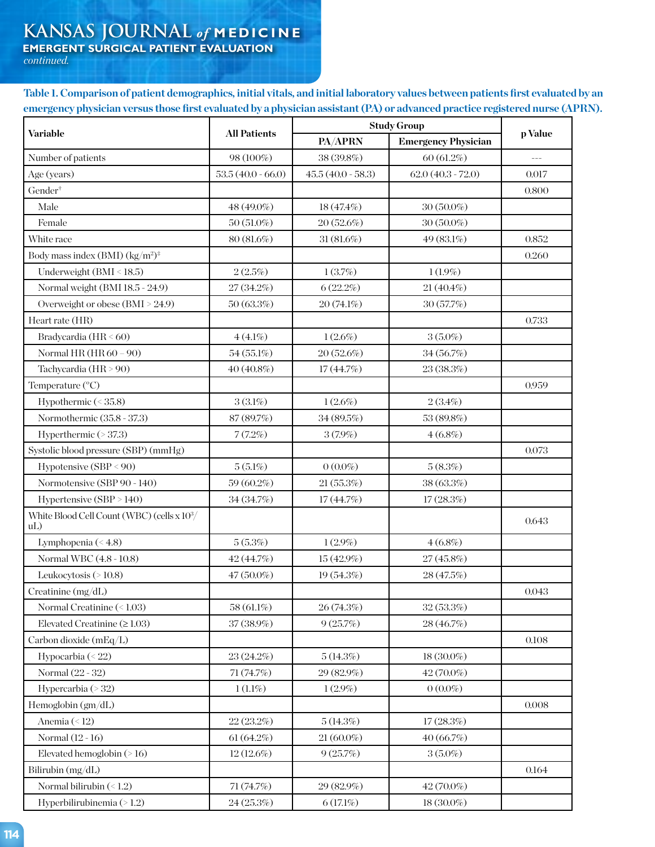# **KANSAS JOURNAL** *of* **MEDICINE**

 **EMERGENT SURGICAL PATIENT EVALUATION**

 *continued.*

**Table 1. Comparison of patient demographics, initial vitals, and initial laboratory values between patients first evaluated by an emergency physician versus those first evaluated by a physician assistant (PA) or advanced practice registered nurse (APRN).** 

| Variable                                                      | <b>All Patients</b> | <b>Study Group</b>  |                            |               |
|---------------------------------------------------------------|---------------------|---------------------|----------------------------|---------------|
|                                                               |                     | PA/APRN             | <b>Emergency Physician</b> | p Value       |
| Number of patients                                            | 98 (100%)           | 38 (39.8%)          | 60 (61.2%)                 | $\frac{1}{2}$ |
| Age (years)                                                   | $53.5(40.0 - 66.0)$ | $45.5(40.0 - 58.3)$ | $62.0(40.3 - 72.0)$        | 0.017         |
| Gender <sup>+</sup>                                           |                     |                     |                            | 0.800         |
| Male                                                          | 48 (49.0%)          | 18 (47.4%)          | $30(50.0\%)$               |               |
| Female                                                        | $50(51.0\%)$        | 20(52.6%)           | $30(50.0\%)$               |               |
| White race                                                    | 80 (81.6%)          | $31(81.6\%)$        | 49 (83.1%)                 | 0.852         |
| Body mass index (BMI) $\frac{\text{kg}}{m^2}$ <sup>*</sup>    |                     |                     |                            | 0.260         |
| Underweight (BMI < 18.5)                                      | 2(2.5%)             | 1(3.7%)             | $1(1.9\%)$                 |               |
| Normal weight (BMI 18.5 - 24.9)                               | 27 (34.2%)          | 6(22.2%)            | $21(40.4\%)$               |               |
| Overweight or obese (BMI > 24.9)                              | 50(63.3%)           | 20(74.1%)           | 30(57.7%)                  |               |
| Heart rate (HR)                                               |                     |                     |                            | 0.733         |
| Bradycardia (HR < 60)                                         | $4(4.1\%)$          | $1(2.6\%)$          | $3(5.0\%)$                 |               |
| Normal HR $(HR 60 - 90)$                                      | 54 (55.1%)          | 20 (52.6%)          | 34 (56.7%)                 |               |
| Tachycardia (HR > 90)                                         | 40 (40.8%)          | 17(44.7%)           | 23 (38.3%)                 |               |
| Temperature (°C)                                              |                     |                     |                            | 0.959         |
| Hypothermic (< 35.8)                                          | $3(3.1\%)$          | $1(2.6\%)$          | $2(3.4\%)$                 |               |
| Normothermic (35.8 - 37.3)                                    | 87 (89.7%)          | 34 (89.5%)          | 53 (89.8%)                 |               |
| Hyperthermic (> 37.3)                                         | 7(7.2%)             | $3(7.9\%)$          | $4(6.8\%)$                 |               |
| Systolic blood pressure (SBP) (mmHg)                          |                     |                     |                            | 0.073         |
| Hypotensive (SBP < 90)                                        | $5(5.1\%)$          | $0(0.0\%)$          | 5(8.3%)                    |               |
| Normotensive (SBP 90 - 140)                                   | 59 (60.2%)          | 21(55.3%)           | 38 (63.3%)                 |               |
| Hypertensive (SBP > 140)                                      | 34 (34.7%)          | 17(44.7%)           | 17(28.3%)                  |               |
| White Blood Cell Count (WBC) (cells x 10 <sup>3</sup> /<br>uL |                     |                     |                            | 0.643         |
| Lymphopenia (<4.8)                                            | 5(5.3%)             | $1(2.9\%)$          | $4(6.8\%)$                 |               |
| Normal WBC (4.8 - 10.8)                                       | 42 (44.7%)          | 15 (42.9%)          | 27 (45.8%)                 |               |
| Leukocytosis (>10.8)                                          | $47(50.0\%)$        | 19 (54.3%)          | 28 (47.5%)                 |               |
| Creatinine (mg/dL)                                            |                     |                     |                            | 0.043         |
| Normal Creatinine (<1.03)                                     | 58 (61.1%)          | 26(74.3%)           | 32(53.3%)                  |               |
| Elevated Creatinine $(\geq 1.03)$                             | 37 (38.9%)          | 9(25.7%)            | 28 (46.7%)                 |               |
| Carbon dioxide (mEq/L)                                        |                     |                     |                            | 0.108         |
| Hypocarbia (< 22)                                             | 23 (24.2%)          | 5(14.3%)            | 18 (30.0%)                 |               |
| Normal (22 - 32)                                              | 71 (74.7%)          | 29 (82.9%)          | 42 (70.0%)                 |               |
| Hypercarbia (> 32)                                            | $1(1.1\%)$          | $1(2.9\%)$          | $0(0.0\%)$                 |               |
| Hemoglobin (gm/dL)                                            |                     |                     |                            | 0.008         |
| Anemia (<12)                                                  | 22 (23.2%)          | 5(14.3%)            | 17(28.3%)                  |               |
| Normal (12 - 16)                                              | 61(64.2%)           | $21(60.0\%)$        | 40 (66.7%)                 |               |
| Elevated hemoglobin $($ >16)                                  | $12(12.6\%)$        | 9(25.7%)            | $3(5.0\%)$                 |               |
| Bilirubin (mg/dL)                                             |                     |                     |                            | 0.164         |
| Normal bilirubin $($ $1.2$ )                                  | 71 (74.7%)          | 29 (82.9%)          | 42 (70.0%)                 |               |
| Hyperbilirubinemia (> 1.2)                                    | 24 (25.3%)          | 6(17.1%)            | 18 (30.0%)                 |               |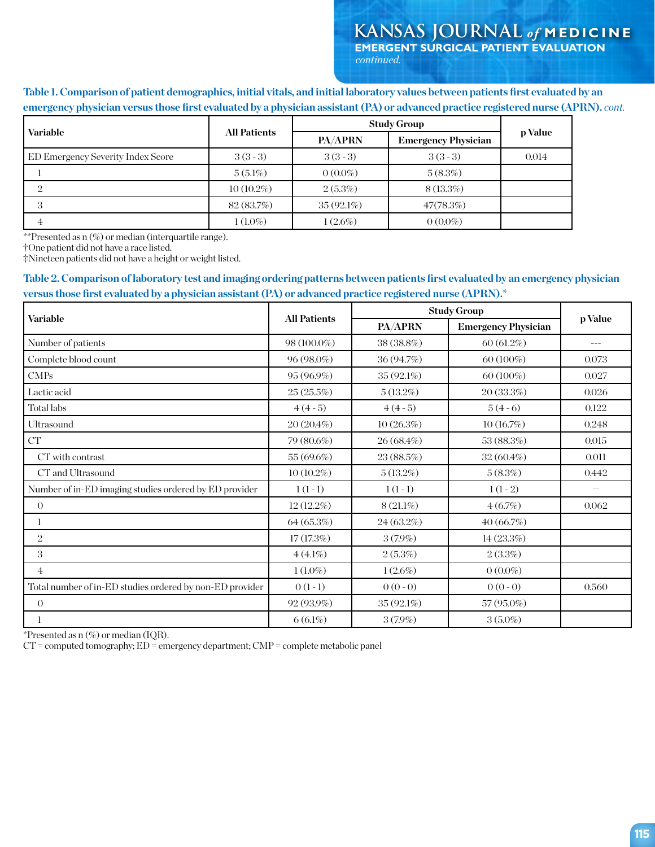**Table 1. Comparison of patient demographics, initial vitals, and initial laboratory values between patients first evaluated by an emergency physician versus those first evaluated by a physician assistant (PA) or advanced practice registered nurse (APRN).** *cont.*

| Variable                          | <b>All Patients</b> | <b>Study Group</b> |                            |         |  |
|-----------------------------------|---------------------|--------------------|----------------------------|---------|--|
|                                   |                     | PA/APRN            | <b>Emergency Physician</b> | p Value |  |
| ED Emergency Severity Index Score | $3(3-3)$            | $3(3-3)$           | $3(3-3)$                   | 0.014   |  |
|                                   | $5(5.1\%)$          | $0(0.0\%)$         | 5(8.3%)                    |         |  |
| $\Omega$                          | $10(10.2\%)$        | 2(5.3%)            | $8(13.3\%)$                |         |  |
| 3                                 | 82 (83.7%)          | $35(92.1\%)$       | 47(78.3%)                  |         |  |
|                                   | $1(1.0\%)$          | $1(2.6\%)$         | $0(0.0\%)$                 |         |  |

\*\*Presented as n (%) or median (interquartile range).

†One patient did not have a race listed.

‡Nineteen patients did not have a height or weight listed.

# **Table 2. Comparison of laboratory test and imaging ordering patterns between patients first evaluated by an emergency physician versus those first evaluated by a physician assistant (PA) or advanced practice registered nurse (APRN).\***

| <b>Variable</b>                                          | <b>All Patients</b> | <b>Study Group</b> |                            |                      |  |
|----------------------------------------------------------|---------------------|--------------------|----------------------------|----------------------|--|
|                                                          |                     | PA/APRN            | <b>Emergency Physician</b> | p Value              |  |
| Number of patients                                       | $98(100.0\%)$       | 38 (38.8%)         | 60(61.2%)                  | $- - -$              |  |
| Complete blood count                                     | $96(98.0\%)$        | 36 (94.7%)         | $60(100\%)$                | 0.073                |  |
| $\text{CMPs}$                                            | $95(96.9\%)$        | 35 (92.1%)         | $60(100\%)$                | 0.027                |  |
| Lactic acid                                              | 25(25.5%)           | 5(13.2%)           | 20(33.3%)                  | 0.026                |  |
| Total labs                                               | $4(4-5)$            | $4(4-5)$           | $5(4-6)$                   | 0.122                |  |
| Ultrasound                                               | 20(20.4%)           | 10(26.3%)          | 10(16.7%)                  | 0.248                |  |
| ${\cal C}{\cal T}$                                       | 79 (80.6%)          | 26 (68.4%)         | 53 (88.3%)                 | 0.015                |  |
| CT with contrast                                         | 55 (69.6%)          | 23 (88.5%)         | $32(60.4\%)$               | 0.011                |  |
| CT and Ultrasound                                        | $10(10.2\%)$        | 5(13.2%)           | 5(8.3%)                    | 0.442                |  |
| Number of in-ED imaging studies ordered by ED provider   | $1(1-1)$            | $1(1-1)$           | $1(1-2)$                   | $\sim$ $\sim$ $\sim$ |  |
| $\Omega$                                                 | $12(12.2\%)$        | $8(21.1\%)$        | 4(6.7%)                    | 0.062                |  |
|                                                          | 64(65.3%)           | 24 (63.2%)         | 40(66.7%)                  |                      |  |
| 2                                                        | 17(17.3%)           | $3(7.9\%)$         | 14(23.3%)                  |                      |  |
| 3                                                        | $4(4.1\%)$          | 2(5.3%)            | 2(3.3%)                    |                      |  |
| 4                                                        | $1(1.0\%)$          | $1(2.6\%)$         | $0(0.0\%)$                 |                      |  |
| Total number of in-ED studies ordered by non-ED provider | $0(1-1)$            | $0(0-0)$           | $0(0-0)$                   | 0.560                |  |
| $\theta$                                                 | 92 (93.9%)          | 35 (92.1%)         | 57 (95.0%)                 |                      |  |
|                                                          | $6(6.1\%)$          | $3(7.9\%)$         | $3(5.0\%)$                 |                      |  |

\*Presented as  $n$  (%) or median (IQR).

 $CT =$  computed tomography;  $ED =$  emergency department;  $CMP =$  complete metabolic panel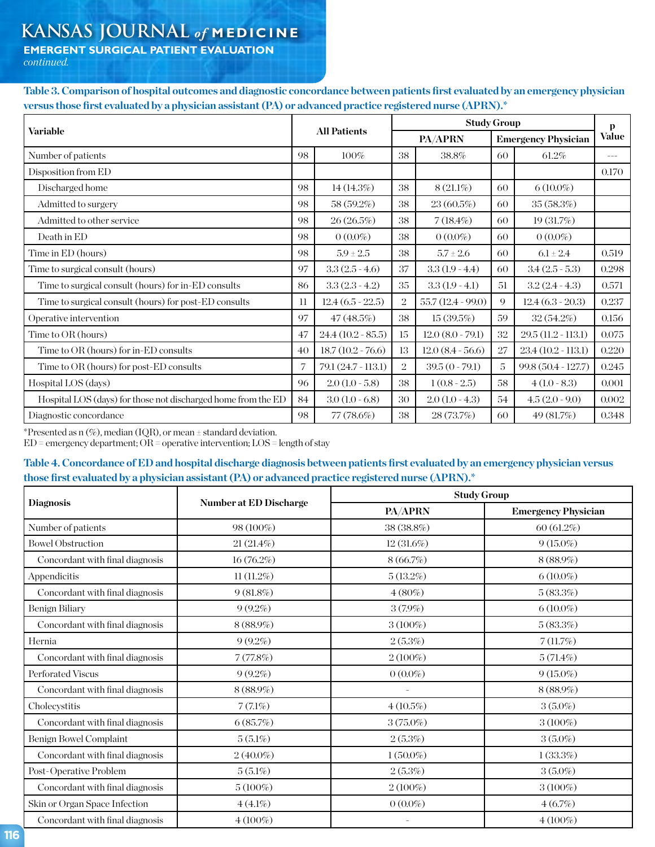# **KANSAS JOURNAL** *of* **MEDICINE**

**EMERGENT SURGICAL PATIENT EVALUATION**

*continued.*

**Table 3. Comparison of hospital outcomes and diagnostic concordance between patients first evaluated by an emergency physician versus those first evaluated by a physician assistant (PA) or advanced practice registered nurse (APRN).\***

|                                                               | <b>All Patients</b> |                     | <b>Study Group</b> |                     |                            |                      | р             |
|---------------------------------------------------------------|---------------------|---------------------|--------------------|---------------------|----------------------------|----------------------|---------------|
| Variable                                                      |                     |                     | <b>PA/APRN</b>     |                     | <b>Emergency Physician</b> |                      | <b>Value</b>  |
| Number of patients                                            | 98                  | $100\%$             | 38                 | 38.8%               | 60                         | 61.2%                | $\frac{1}{2}$ |
| Disposition from ED                                           |                     |                     |                    |                     |                            |                      | 0.170         |
| Discharged home                                               | 98                  | 14(14.3%)           | 38                 | $8(21.1\%)$         | 60                         | $6(10.0\%)$          |               |
| Admitted to surgery                                           | 98                  | 58 (59.2%)          | 38                 | 23(60.5%)           | 60                         | 35(58.3%)            |               |
| Admitted to other service                                     | 98                  | 26(26.5%)           | 38                 | $7(18.4\%)$         | 60                         | 19(31.7%)            |               |
| Death in ED                                                   | 98                  | $0(0.0\%)$          | 38                 | $0(0.0\%)$          | 60                         | $0(0.0\%)$           |               |
| Time in ED (hours)                                            | 98                  | $5.9 \pm 2.5$       | 38                 | $5.7 \pm 2.6$       | 60                         | $6.1 \pm 2.4$        | 0.519         |
| Time to surgical consult (hours)                              | 97                  | $3.3(2.5 - 4.6)$    | 37                 | $3.3(1.9 - 4.4)$    | 60                         | $3.4(2.5-5.3)$       | 0.298         |
| Time to surgical consult (hours) for in-ED consults           | 86                  | $3.3(2.3 - 4.2)$    | 35                 | $3.3(1.9-4.1)$      | 51                         | $3.2(2.4 - 4.3)$     | 0.571         |
| Time to surgical consult (hours) for post-ED consults         | $_{11}$             | $12.4(6.5 - 22.5)$  | $\overline{2}$     | $55.7(12.4-99.0)$   | 9                          | $12.4(6.3-20.3)$     | 0.237         |
| Operative intervention                                        | 97                  | 47(48.5%)           | 38                 | 15(39.5%)           | 59                         | 32(54.2%)            | 0.156         |
| Time to OR (hours)                                            | 47                  | $24.4(10.2 - 85.5)$ | 15                 | $12.0 (8.0 - 79.1)$ | 32                         | $29.5(11.2 - 113.1)$ | 0.075         |
| Time to OR (hours) for in-ED consults                         | 40                  | $18.7(10.2 - 76.6)$ | 13                 | $12.0(8.4-56.6)$    | 27                         | $23.4(10.2 - 113.1)$ | 0.220         |
| Time to OR (hours) for post-ED consults                       | 7                   | 79.1 (24.7 - 113.1) | $\overline{2}$     | $39.5(0 - 79.1)$    | 5                          | $99.8(50.4 - 127.7)$ | 0.245         |
| Hospital LOS (days)                                           | 96                  | $2.0(1.0 - 5.8)$    | 38                 | $1(0.8 - 2.5)$      | 58                         | $4(1.0-8.3)$         | 0.001         |
| Hospital LOS (days) for those not discharged home from the ED | 84                  | $3.0(1.0 - 6.8)$    | 30                 | $2.0(1.0 - 4.3)$    | 54                         | $4.5(2.0-9.0)$       | 0.002         |
| Diagnostic concordance                                        | 98                  | 77 (78.6%)          | 38                 | 28 (73.7%)          | 60                         | 49 (81.7%)           | 0.348         |

\*Presented as  $n$  (%), median (IQR), or mean  $\pm$  standard deviation.

 $ED =$  emergency department;  $OR =$  operative intervention;  $LOS =$  length of stay

# **Table 4. Concordance of ED and hospital discharge diagnosis between patients first evaluated by an emergency physician versus those first evaluated by a physician assistant (PA) or advanced practice registered nurse (APRN).\***

|                                 |                        | <b>Study Group</b> |                            |  |  |
|---------------------------------|------------------------|--------------------|----------------------------|--|--|
| <b>Diagnosis</b>                | Number at ED Discharge | PA/APRN            | <b>Emergency Physician</b> |  |  |
| Number of patients              | 98 (100%)              | 38 (38.8%)         | 60(61.2%)                  |  |  |
| <b>Bowel Obstruction</b>        | $21(21.4\%)$           | $12(31.6\%)$       | $9(15.0\%)$                |  |  |
| Concordant with final diagnosis | $16(76.2\%)$           | 8(66.7%)           | $8(88.9\%)$                |  |  |
| Appendicitis                    | $11(11.2\%)$           | 5(13.2%)           | $6(10.0\%)$                |  |  |
| Concordant with final diagnosis | $9(81.8\%)$            | $4(80\%)$          | 5(83.3%)                   |  |  |
| Benign Biliary                  | $9(9.2\%)$             | $3(7.9\%)$         | $6(10.0\%)$                |  |  |
| Concordant with final diagnosis | $8(88.9\%)$            | $3(100\%)$         | 5(83.3%)                   |  |  |
| Hernia                          | $9(9.2\%)$             | 2(5.3%)            | 7(11.7%)                   |  |  |
| Concordant with final diagnosis | 7(77.8%)               | $2(100\%)$         | 5(71.4%)                   |  |  |
| Perforated Viscus               | $9(9.2\%)$             | $0(0.0\%)$         | $9(15.0\%)$                |  |  |
| Concordant with final diagnosis | $8(88.9\%)$            | $\sim$             | $8(88.9\%)$                |  |  |
| Cholecystitis                   | 7(7.1%)                | 4(10.5%)           | $3(5.0\%)$                 |  |  |
| Concordant with final diagnosis | 6(85.7%)               | $3(75.0\%)$        | $3(100\%)$                 |  |  |
| Benign Bowel Complaint          | $5(5.1\%)$             | 2(5.3%)            | $3(5.0\%)$                 |  |  |
| Concordant with final diagnosis | $2(40.0\%)$            | $1(50.0\%)$        | $1(33.3\%)$                |  |  |
| Post-Operative Problem          | $5(5.1\%)$             | 2(5.3%)            | $3(5.0\%)$                 |  |  |
| Concordant with final diagnosis | $5(100\%)$             | $2(100\%)$         | $3(100\%)$                 |  |  |
| Skin or Organ Space Infection   | $4(4.1\%)$             | $0(0.0\%)$         | 4(6.7%)                    |  |  |
| Concordant with final diagnosis | $4(100\%)$             |                    | $4(100\%)$                 |  |  |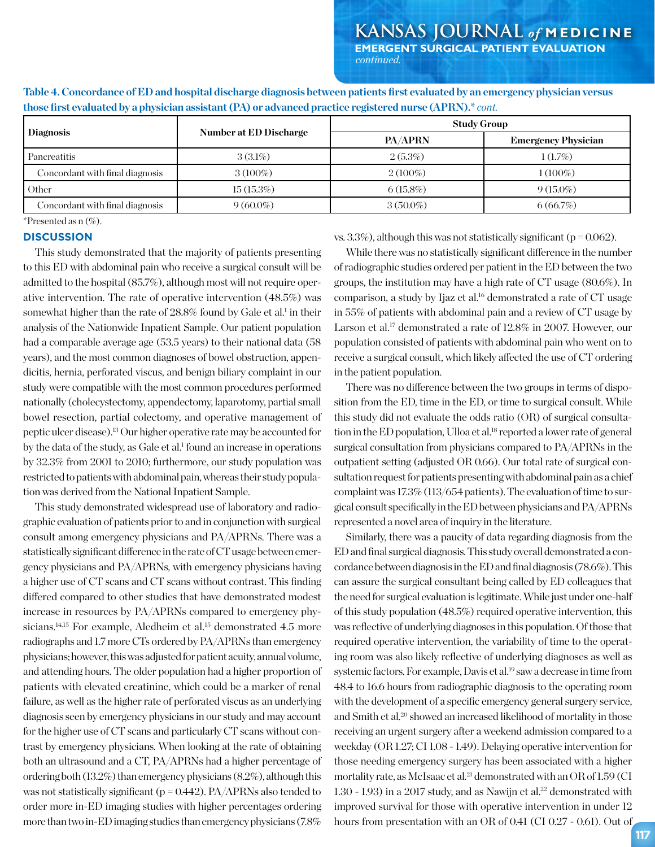| <b>Diagnosis</b>                | <b>Number at ED Discharge</b> | <b>Study Group</b> |                            |  |  |
|---------------------------------|-------------------------------|--------------------|----------------------------|--|--|
|                                 |                               | <b>PA/APRN</b>     | <b>Emergency Physician</b> |  |  |
| Pancreatitis                    | $3(3.1\%)$                    | 2(5.3%)            | $1(1.7\%)$                 |  |  |
| Concordant with final diagnosis | $3(100\%)$                    | $2(100\%)$         | $(100\%)$                  |  |  |
| Other                           | 15(15.3%)                     | $6(15.8\%)$        | $9(15.0\%)$                |  |  |
| Concordant with final diagnosis | $9(60.0\%)$                   | $3(50.0\%)$        | 6(66.7%)                   |  |  |

**Table 4. Concordance of ED and hospital discharge diagnosis between patients first evaluated by an emergency physician versus those first evaluated by a physician assistant (PA) or advanced practice registered nurse (APRN).\*** *cont.*

\*Presented as n (%).

## **DISCUSSION**

This study demonstrated that the majority of patients presenting to this ED with abdominal pain who receive a surgical consult will be admitted to the hospital (85.7%), although most will not require operative intervention. The rate of operative intervention (48.5%) was somewhat higher than the rate of 28.8% found by Gale et al.<sup>1</sup> in their analysis of the Nationwide Inpatient Sample. Our patient population had a comparable average age (53.5 years) to their national data (58 years), and the most common diagnoses of bowel obstruction, appendicitis, hernia, perforated viscus, and benign biliary complaint in our study were compatible with the most common procedures performed nationally (cholecystectomy, appendectomy, laparotomy, partial small bowel resection, partial colectomy, and operative management of peptic ulcer disease).13 Our higher operative rate may be accounted for by the data of the study, as Gale et al.<sup>1</sup> found an increase in operations by 32.3% from 2001 to 2010; furthermore, our study population was restricted to patients with abdominal pain, whereas their study population was derived from the National Inpatient Sample.

This study demonstrated widespread use of laboratory and radiographic evaluation of patients prior to and in conjunction with surgical consult among emergency physicians and PA/APRNs. There was a statistically significant difference in the rate of CT usage between emergency physicians and PA/APRNs, with emergency physicians having a higher use of CT scans and CT scans without contrast. This finding differed compared to other studies that have demonstrated modest increase in resources by PA/APRNs compared to emergency physicians.<sup>14,15</sup> For example, Aledheim et al.<sup>15</sup> demonstrated 4.5 more radiographs and 1.7 more CTs ordered by PA/APRNs than emergency physicians; however, this was adjusted for patient acuity, annual volume, and attending hours. The older population had a higher proportion of patients with elevated creatinine, which could be a marker of renal failure, as well as the higher rate of perforated viscus as an underlying diagnosis seen by emergency physicians in our study and may account for the higher use of CT scans and particularly CT scans without contrast by emergency physicians. When looking at the rate of obtaining both an ultrasound and a CT, PA/APRNs had a higher percentage of ordering both (13.2%) than emergency physicians (8.2%), although this was not statistically significant ( $p = 0.442$ ). PA/APRNs also tended to order more in-ED imaging studies with higher percentages ordering more than two in-ED imaging studies than emergency physicians (7.8%

vs. 3.3%), although this was not statistically significant ( $p = 0.062$ ).

While there was no statistically significant difference in the number of radiographic studies ordered per patient in the ED between the two groups, the institution may have a high rate of CT usage (80.6%). In comparison, a study by Ijaz et al.16 demonstrated a rate of CT usage in 55% of patients with abdominal pain and a review of CT usage by Larson et al.<sup>17</sup> demonstrated a rate of 12.8% in 2007. However, our population consisted of patients with abdominal pain who went on to receive a surgical consult, which likely affected the use of CT ordering in the patient population.

There was no difference between the two groups in terms of disposition from the ED, time in the ED, or time to surgical consult. While this study did not evaluate the odds ratio (OR) of surgical consultation in the ED population, Ulloa et al.<sup>18</sup> reported a lower rate of general surgical consultation from physicians compared to PA/APRNs in the outpatient setting (adjusted OR 0.66). Our total rate of surgical consultation request for patients presenting with abdominal pain as a chief complaint was 17.3% (113/654 patients). The evaluation of time to surgical consult specifically in the ED between physicians and PA/APRNs represented a novel area of inquiry in the literature.

Similarly, there was a paucity of data regarding diagnosis from the ED and final surgical diagnosis. This study overall demonstrated a concordance between diagnosis in the ED and final diagnosis (78.6%). This can assure the surgical consultant being called by ED colleagues that the need for surgical evaluation is legitimate. While just under one-half of this study population (48.5%) required operative intervention, this was reflective of underlying diagnoses in this population. Of those that required operative intervention, the variability of time to the operating room was also likely reflective of underlying diagnoses as well as systemic factors. For example, Davis et al.<sup>19</sup> saw a decrease in time from 48.4 to 16.6 hours from radiographic diagnosis to the operating room with the development of a specific emergency general surgery service, and Smith et al.20 showed an increased likelihood of mortality in those receiving an urgent surgery after a weekend admission compared to a weekday (OR 1.27; CI 1.08 - 1.49). Delaying operative intervention for those needing emergency surgery has been associated with a higher mortality rate, as McIsaac et al.<sup>21</sup> demonstrated with an OR of 1.59 (CI  $1.30 - 1.93$ ) in a 2017 study, and as Nawijn et al.<sup>22</sup> demonstrated with improved survival for those with operative intervention in under 12 hours from presentation with an OR of 0.41 (CI 0.27 - 0.61). Out of